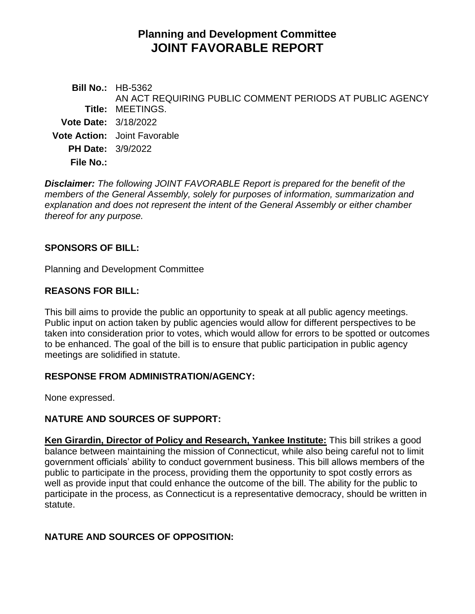# **Planning and Development Committee JOINT FAVORABLE REPORT**

|                             | <b>Bill No.: HB-5362</b><br>AN ACT REQUIRING PUBLIC COMMENT PERIODS AT PUBLIC AGENCY |
|-----------------------------|--------------------------------------------------------------------------------------|
|                             | <b>Title: MEETINGS.</b>                                                              |
| <b>Vote Date: 3/18/2022</b> |                                                                                      |
|                             | <b>Vote Action:</b> Joint Favorable                                                  |
| <b>PH Date: 3/9/2022</b>    |                                                                                      |
| <b>File No.:</b>            |                                                                                      |
|                             |                                                                                      |

*Disclaimer: The following JOINT FAVORABLE Report is prepared for the benefit of the members of the General Assembly, solely for purposes of information, summarization and explanation and does not represent the intent of the General Assembly or either chamber thereof for any purpose.*

### **SPONSORS OF BILL:**

Planning and Development Committee

### **REASONS FOR BILL:**

This bill aims to provide the public an opportunity to speak at all public agency meetings. Public input on action taken by public agencies would allow for different perspectives to be taken into consideration prior to votes, which would allow for errors to be spotted or outcomes to be enhanced. The goal of the bill is to ensure that public participation in public agency meetings are solidified in statute.

### **RESPONSE FROM ADMINISTRATION/AGENCY:**

None expressed.

# **NATURE AND SOURCES OF SUPPORT:**

**Ken Girardin, Director of Policy and Research, Yankee Institute:** This bill strikes a good balance between maintaining the mission of Connecticut, while also being careful not to limit government officials' ability to conduct government business. This bill allows members of the public to participate in the process, providing them the opportunity to spot costly errors as well as provide input that could enhance the outcome of the bill. The ability for the public to participate in the process, as Connecticut is a representative democracy, should be written in statute.

# **NATURE AND SOURCES OF OPPOSITION:**